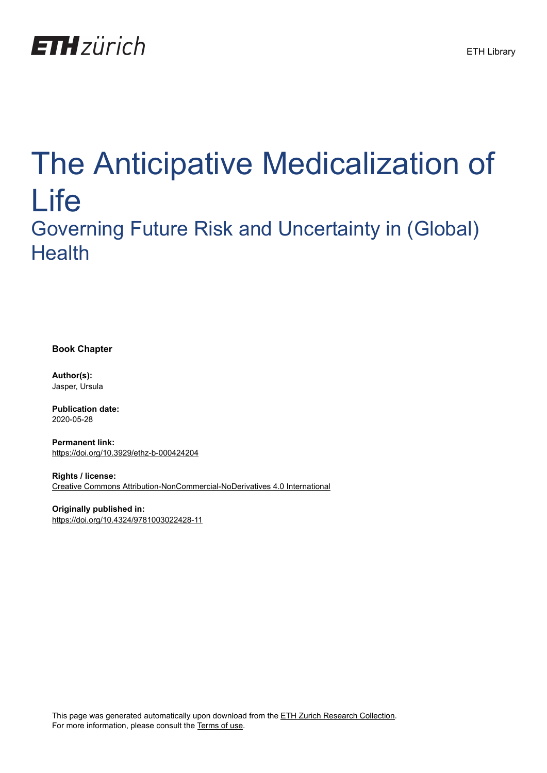

# The Anticipative Medicalization of Life Governing Future Risk and Uncertainty in (Global) **Health**

**Book Chapter**

**Author(s):** Jasper, Ursula

**Publication date:** 2020-05-28

**Permanent link:** <https://doi.org/10.3929/ethz-b-000424204>

**Rights / license:** [Creative Commons Attribution-NonCommercial-NoDerivatives 4.0 International](http://creativecommons.org/licenses/by-nc-nd/4.0/)

**Originally published in:** <https://doi.org/10.4324/9781003022428-11>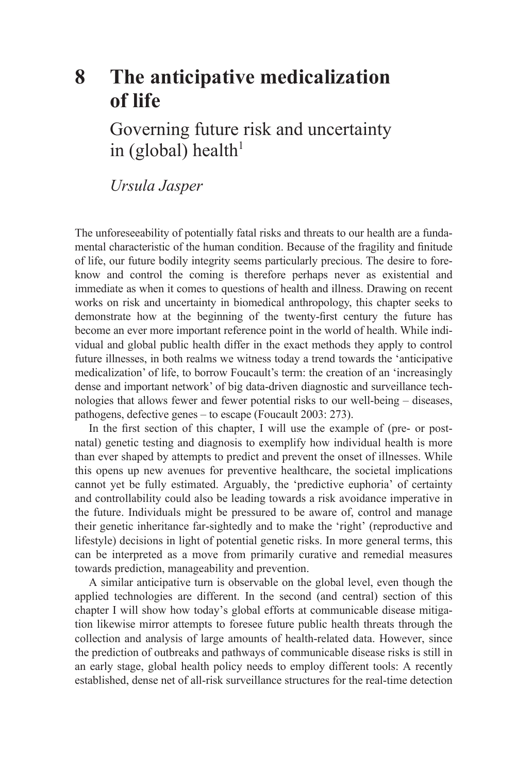# **[8 The anticipative medicalization](#page--1-0) of life**

Governing future risk and uncertainty in (global) health $1$ 

*Ursula Jasper* 

The unforeseeability of potentially fatal risks and threats to our health are a fundamental characteristic of the human condition. Because of the fragility and finitude of life, our future bodily integrity seems particularly precious. The desire to foreknow and control the coming is therefore perhaps never as existential and immediate as when it comes to questions of health and illness. Drawing on recent works on risk and uncertainty in biomedical anthropology, this chapter seeks to demonstrate how at the beginning of the twenty-first century the future has become an ever more important reference point in the world of health. While individual and global public health differ in the exact methods they apply to control future illnesses, in both realms we witness today a trend towards the 'anticipative medicalization' of life, to borrow Foucault's term: the creation of an 'increasingly dense and important network' of big data-driven diagnostic and surveillance technologies that allows fewer and fewer potential risks to our well-being – diseases, pathogens, defective genes – to escape (Foucault 2003: 273).

In the first section of this chapter, I will use the example of (pre- or postnatal) genetic testing and diagnosis to exemplify how individual health is more than ever shaped by attempts to predict and prevent the onset of illnesses. While this opens up new avenues for preventive healthcare, the societal implications cannot yet be fully estimated. Arguably, the 'predictive euphoria' of certainty and controllability could also be leading towards a risk avoidance imperative in the future. Individuals might be pressured to be aware of, control and manage their genetic inheritance far-sightedly and to make the 'right' (reproductive and lifestyle) decisions in light of potential genetic risks. In more general terms, this can be interpreted as a move from primarily curative and remedial measures towards prediction, manageability and prevention.

A similar anticipative turn is observable on the global level, even though the applied technologies are different. In the second (and central) section of this chapter I will show how today's global efforts at communicable disease mitigation likewise mirror attempts to foresee future public health threats through the collection and analysis of large amounts of health-related data. However, since the prediction of outbreaks and pathways of communicable disease risks is still in an early stage, global health policy needs to employ different tools: A recently established, dense net of all-risk surveillance structures for the real-time detection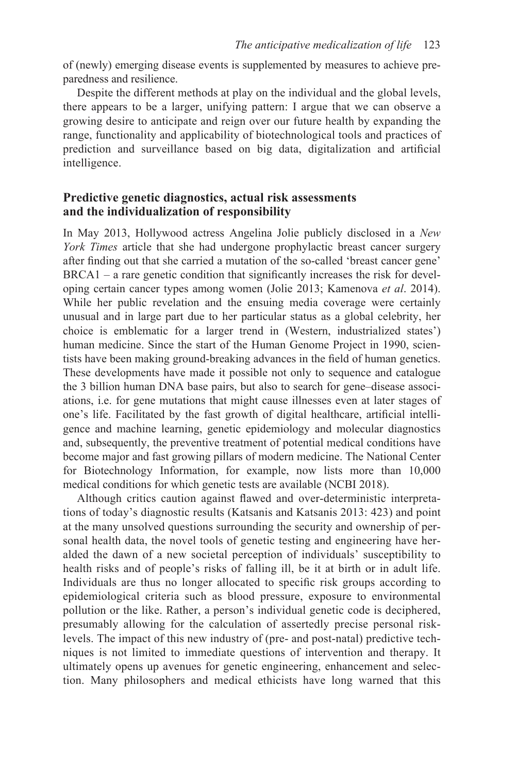of (newly) emerging disease events is supplemented by measures to achieve preparedness and resilience.

Despite the different methods at play on the individual and the global levels, there appears to be a larger, unifying pattern: I argue that we can observe a growing desire to anticipate and reign over our future health by expanding the range, functionality and applicability of biotechnological tools and practices of prediction and surveillance based on big data, digitalization and artificial intelligence.

# **Predictive genetic diagnostics, actual risk assessments and the individualization of responsibility**

In May 2013, Hollywood actress Angelina Jolie publicly disclosed in a *New York Times* article that she had undergone prophylactic breast cancer surgery after finding out that she carried a mutation of the so-called 'breast cancer gene' BRCA1 – a rare genetic condition that significantly increases the risk for developing certain cancer types among women (Jolie 2013; Kamenova *et al*. 2014). While her public revelation and the ensuing media coverage were certainly unusual and in large part due to her particular status as a global celebrity, her choice is emblematic for a larger trend in (Western, industrialized states') human medicine. Since the start of the Human Genome Project in 1990, scientists have been making ground-breaking advances in the field of human genetics. These developments have made it possible not only to sequence and catalogue the 3 billion human DNA base pairs, but also to search for gene–disease associations, i.e. for gene mutations that might cause illnesses even at later stages of one's life. Facilitated by the fast growth of digital healthcare, artificial intelligence and machine learning, genetic epidemiology and molecular diagnostics and, subsequently, the preventive treatment of potential medical conditions have become major and fast growing pillars of modern medicine. The National Center for Biotechnology Information, for example, now lists more than 10,000 medical conditions for which genetic tests are available (NCBI 2018).

Although critics caution against flawed and over-deterministic interpretations of today's diagnostic results (Katsanis and Katsanis 2013: 423) and point at the many unsolved questions surrounding the security and ownership of personal health data, the novel tools of genetic testing and engineering have heralded the dawn of a new societal perception of individuals' susceptibility to health risks and of people's risks of falling ill, be it at birth or in adult life. Individuals are thus no longer allocated to specific risk groups according to epidemiological criteria such as blood pressure, exposure to environmental pollution or the like. Rather, a person's individual genetic code is deciphered, presumably allowing for the calculation of assertedly precise personal risklevels. The impact of this new industry of (pre- and post-natal) predictive techniques is not limited to immediate questions of intervention and therapy. It ultimately opens up avenues for genetic engineering, enhancement and selection. Many philosophers and medical ethicists have long warned that this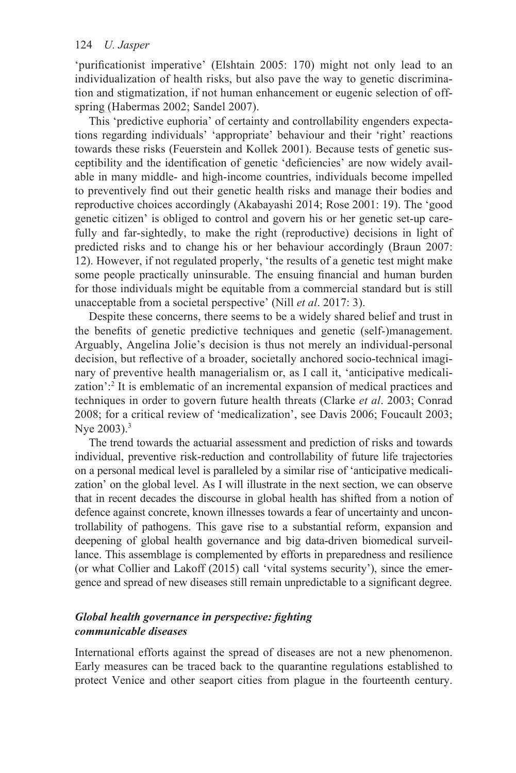'purificationist imperative' (Elshtain 2005: 170) might not only lead to an individualization of health risks, but also pave the way to genetic discrimination and stigmatization, if not human enhancement or eugenic selection of offspring (Habermas 2002; Sandel 2007).

This 'predictive euphoria' of certainty and controllability engenders expectations regarding individuals' 'appropriate' behaviour and their 'right' reactions towards these risks (Feuerstein and Kollek 2001). Because tests of genetic susceptibility and the identification of genetic 'deficiencies' are now widely available in many middle- and high-income countries, individuals become impelled to preventively find out their genetic health risks and manage their bodies and reproductive choices accordingly (Akabayashi 2014; Rose 2001: 19). The 'good genetic citizen' is obliged to control and govern his or her genetic set-up carefully and far-sightedly, to make the right (reproductive) decisions in light of predicted risks and to change his or her behaviour accordingly (Braun 2007: 12). However, if not regulated properly, 'the results of a genetic test might make some people practically uninsurable. The ensuing financial and human burden for those individuals might be equitable from a commercial standard but is still unacceptable from a societal perspective' (Nill *et al*. 2017: 3).

Despite these concerns, there seems to be a widely shared belief and trust in the benefits of genetic predictive techniques and genetic (self-)management. Arguably, Angelina Jolie's decision is thus not merely an individual-personal decision, but reflective of a broader, societally anchored socio-technical imaginary of preventive health managerialism or, as I call it, 'anticipative medicalization'[:2](#page--1-0) It is emblematic of an incremental expansion of medical practices and techniques in order to govern future health threats (Clarke *et al*. 2003; Conrad 2008; for a critical review of 'medicalization', see Davis 2006; Foucault 2003; Nye  $2003$ ).<sup>3</sup>

The trend towards the actuarial assessment and prediction of risks and towards individual, preventive risk-reduction and controllability of future life trajectories on a personal medical level is paralleled by a similar rise of 'anticipative medicalization' on the global level. As I will illustrate in the next section, we can observe that in recent decades the discourse in global health has shifted from a notion of defence against concrete, known illnesses towards a fear of uncertainty and uncontrollability of pathogens. This gave rise to a substantial reform, expansion and deepening of global health governance and big data-driven biomedical surveillance. This assemblage is complemented by efforts in preparedness and resilience (or what Collier and Lakoff (2015) call 'vital systems security'), since the emergence and spread of new diseases still remain unpredictable to a significant degree.

## *Global health governance in perspective: fighting communicable diseases*

International efforts against the spread of diseases are not a new phenomenon. Early measures can be traced back to the quarantine regulations established to protect Venice and other seaport cities from plague in the fourteenth century.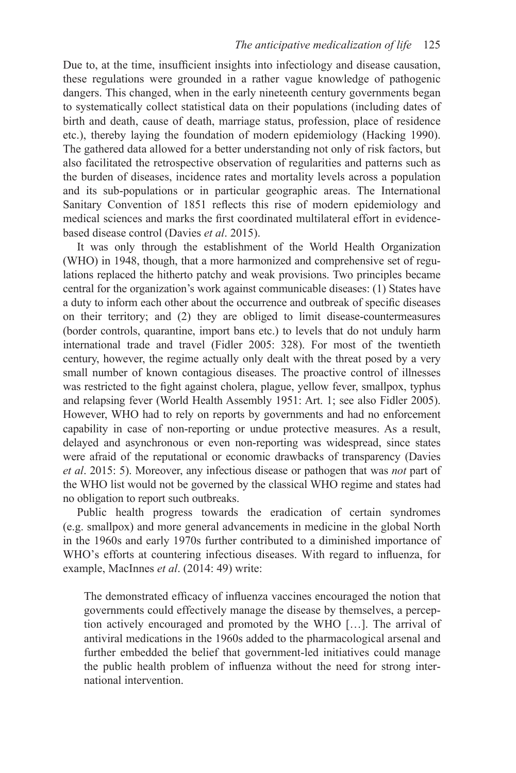Due to, at the time, insufficient insights into infectiology and disease causation, these regulations were grounded in a rather vague knowledge of pathogenic dangers. This changed, when in the early nineteenth century governments began to systematically collect statistical data on their populations (including dates of birth and death, cause of death, marriage status, profession, place of residence etc.), thereby laying the foundation of modern epidemiology (Hacking 1990). The gathered data allowed for a better understanding not only of risk factors, but also facilitated the retrospective observation of regularities and patterns such as the burden of diseases, incidence rates and mortality levels across a population and its sub-populations or in particular geographic areas. The International Sanitary Convention of 1851 reflects this rise of modern epidemiology and medical sciences and marks the first coordinated multilateral effort in evidencebased disease control (Davies *et al*. 2015).

It was only through the establishment of the World Health Organization (WHO) in 1948, though, that a more harmonized and comprehensive set of regulations replaced the hitherto patchy and weak provisions. Two principles became central for the organization's work against communicable diseases: (1) States have a duty to inform each other about the occurrence and outbreak of specific diseases on their territory; and (2) they are obliged to limit disease-countermeasures (border controls, quarantine, import bans etc.) to levels that do not unduly harm international trade and travel (Fidler 2005: 328). For most of the twentieth century, however, the regime actually only dealt with the threat posed by a very small number of known contagious diseases. The proactive control of illnesses was restricted to the fight against cholera, plague, yellow fever, smallpox, typhus and relapsing fever (World Health Assembly 1951: Art. 1; see also Fidler 2005). However, WHO had to rely on reports by governments and had no enforcement capability in case of non-reporting or undue protective measures. As a result, delayed and asynchronous or even non-reporting was widespread, since states were afraid of the reputational or economic drawbacks of transparency (Davies *et al*. 2015: 5). Moreover, any infectious disease or pathogen that was *not* part of the WHO list would not be governed by the classical WHO regime and states had no obligation to report such outbreaks.

Public health progress towards the eradication of certain syndromes (e.g. smallpox) and more general advancements in medicine in the global North in the 1960s and early 1970s further contributed to a diminished importance of WHO's efforts at countering infectious diseases. With regard to influenza, for example, MacInnes *et al*. (2014: 49) write:

The demonstrated efficacy of influenza vaccines encouraged the notion that governments could effectively manage the disease by themselves, a perception actively encouraged and promoted by the WHO […]. The arrival of antiviral medications in the 1960s added to the pharmacological arsenal and further embedded the belief that government-led initiatives could manage the public health problem of influenza without the need for strong international intervention.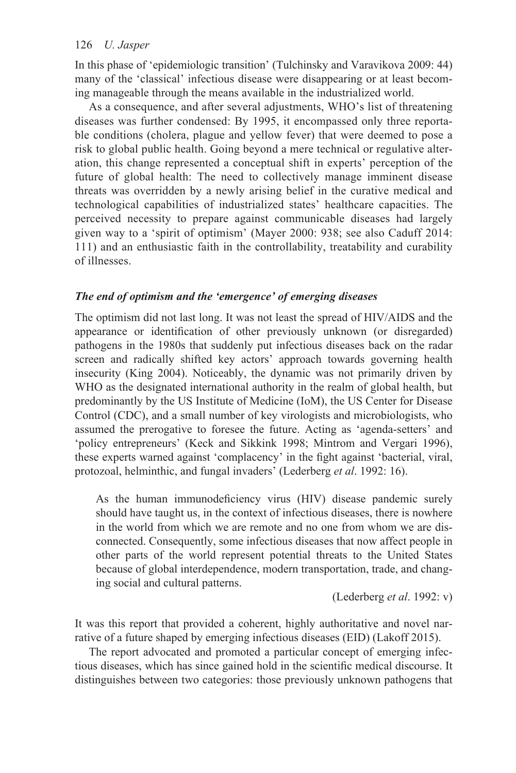In this phase of 'epidemiologic transition' (Tulchinsky and Varavikova 2009: 44) many of the 'classical' infectious disease were disappearing or at least becoming manageable through the means available in the industrialized world.

As a consequence, and after several adjustments, WHO's list of threatening diseases was further condensed: By 1995, it encompassed only three reportable conditions (cholera, plague and yellow fever) that were deemed to pose a risk to global public health. Going beyond a mere technical or regulative alteration, this change represented a conceptual shift in experts' perception of the future of global health: The need to collectively manage imminent disease threats was overridden by a newly arising belief in the curative medical and technological capabilities of industrialized states' healthcare capacities. The perceived necessity to prepare against communicable diseases had largely given way to a 'spirit of optimism' (Mayer 2000: 938; see also Caduff 2014: 111) and an enthusiastic faith in the controllability, treatability and curability of illnesses.

#### *The end of optimism and the 'emergence' of emerging diseases*

The optimism did not last long. It was not least the spread of HIV/AIDS and the appearance or identification of other previously unknown (or disregarded) pathogens in the 1980s that suddenly put infectious diseases back on the radar screen and radically shifted key actors' approach towards governing health insecurity (King 2004). Noticeably, the dynamic was not primarily driven by WHO as the designated international authority in the realm of global health, but predominantly by the US Institute of Medicine (IoM), the US Center for Disease Control (CDC), and a small number of key virologists and microbiologists, who assumed the prerogative to foresee the future. Acting as 'agenda-setters' and 'policy entrepreneurs' (Keck and Sikkink 1998; Mintrom and Vergari 1996), these experts warned against 'complacency' in the fight against 'bacterial, viral, protozoal, helminthic, and fungal invaders' (Lederberg *et al*. 1992: 16).

As the human immunodeficiency virus (HIV) disease pandemic surely should have taught us, in the context of infectious diseases, there is nowhere in the world from which we are remote and no one from whom we are disconnected. Consequently, some infectious diseases that now affect people in other parts of the world represent potential threats to the United States because of global interdependence, modern transportation, trade, and changing social and cultural patterns.

(Lederberg *et al*. 1992: v)

It was this report that provided a coherent, highly authoritative and novel narrative of a future shaped by emerging infectious diseases (EID) (Lakoff 2015).

The report advocated and promoted a particular concept of emerging infectious diseases, which has since gained hold in the scientific medical discourse. It distinguishes between two categories: those previously unknown pathogens that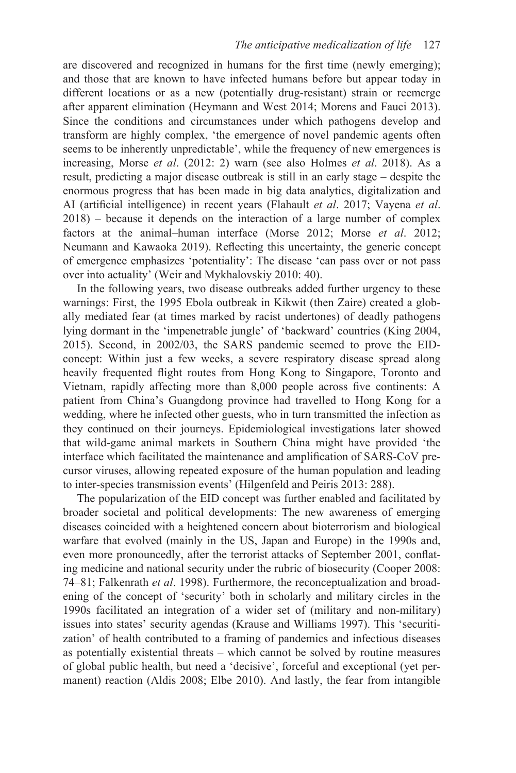are discovered and recognized in humans for the first time (newly emerging); and those that are known to have infected humans before but appear today in different locations or as a new (potentially drug-resistant) strain or reemerge after apparent elimination (Heymann and West 2014; Morens and Fauci 2013). Since the conditions and circumstances under which pathogens develop and transform are highly complex, 'the emergence of novel pandemic agents often seems to be inherently unpredictable', while the frequency of new emergences is increasing, Morse *et al*. (2012: 2) warn (see also Holmes *et al*. 2018). As a result, predicting a major disease outbreak is still in an early stage – despite the enormous progress that has been made in big data analytics, digitalization and AI (artificial intelligence) in recent years (Flahault *et al*. 2017; Vayena *et al*. 2018) – because it depends on the interaction of a large number of complex factors at the animal–human interface (Morse 2012; Morse *et al*. 2012; Neumann and Kawaoka 2019). Reflecting this uncertainty, the generic concept of emergence emphasizes 'potentiality': The disease 'can pass over or not pass over into actuality' (Weir and Mykhalovskiy 2010: 40).

In the following years, two disease outbreaks added further urgency to these warnings: First, the 1995 Ebola outbreak in Kikwit (then Zaire) created a globally mediated fear (at times marked by racist undertones) of deadly pathogens lying dormant in the 'impenetrable jungle' of 'backward' countries (King 2004, 2015). Second, in 2002/03, the SARS pandemic seemed to prove the EIDconcept: Within just a few weeks, a severe respiratory disease spread along heavily frequented flight routes from Hong Kong to Singapore, Toronto and Vietnam, rapidly affecting more than 8,000 people across five continents: A patient from China's Guangdong province had travelled to Hong Kong for a wedding, where he infected other guests, who in turn transmitted the infection as they continued on their journeys. Epidemiological investigations later showed that wild-game animal markets in Southern China might have provided 'the interface which facilitated the maintenance and amplification of SARS-CoV precursor viruses, allowing repeated exposure of the human population and leading to inter-species transmission events' (Hilgenfeld and Peiris 2013: 288).

The popularization of the EID concept was further enabled and facilitated by broader societal and political developments: The new awareness of emerging diseases coincided with a heightened concern about bioterrorism and biological warfare that evolved (mainly in the US, Japan and Europe) in the 1990s and, even more pronouncedly, after the terrorist attacks of September 2001, conflating medicine and national security under the rubric of biosecurity (Cooper 2008: 74–81; Falkenrath *et al*. 1998). Furthermore, the reconceptualization and broadening of the concept of 'security' both in scholarly and military circles in the 1990s facilitated an integration of a wider set of (military and non-military) issues into states' security agendas (Krause and Williams 1997). This 'securitization' of health contributed to a framing of pandemics and infectious diseases as potentially existential threats – which cannot be solved by routine measures of global public health, but need a 'decisive', forceful and exceptional (yet permanent) reaction (Aldis 2008; Elbe 2010). And lastly, the fear from intangible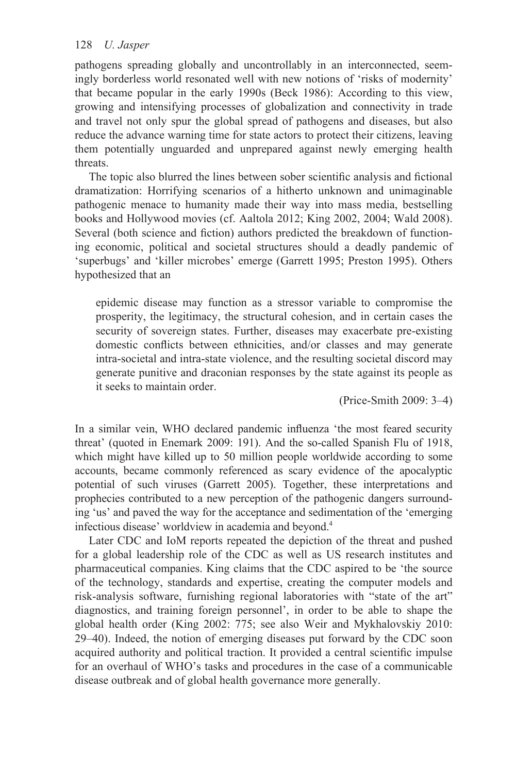pathogens spreading globally and uncontrollably in an interconnected, seemingly borderless world resonated well with new notions of 'risks of modernity' that became popular in the early 1990s (Beck 1986): According to this view, growing and intensifying processes of globalization and connectivity in trade and travel not only spur the global spread of pathogens and diseases, but also reduce the advance warning time for state actors to protect their citizens, leaving them potentially unguarded and unprepared against newly emerging health threats.

The topic also blurred the lines between sober scientific analysis and fictional dramatization: Horrifying scenarios of a hitherto unknown and unimaginable pathogenic menace to humanity made their way into mass media, bestselling books and Hollywood movies (cf. Aaltola 2012; King 2002, 2004; Wald 2008). Several (both science and fiction) authors predicted the breakdown of functioning economic, political and societal structures should a deadly pandemic of 'superbugs' and 'killer microbes' emerge (Garrett 1995; Preston 1995). Others hypothesized that an

epidemic disease may function as a stressor variable to compromise the prosperity, the legitimacy, the structural cohesion, and in certain cases the security of sovereign states. Further, diseases may exacerbate pre-existing domestic conflicts between ethnicities, and/or classes and may generate intra-societal and intra-state violence, and the resulting societal discord may generate punitive and draconian responses by the state against its people as it seeks to maintain order.

(Price-Smith 2009: 3–4)

In a similar vein, WHO declared pandemic influenza 'the most feared security threat' (quoted in Enemark 2009: 191). And the so-called Spanish Flu of 1918, which might have killed up to 50 million people worldwide according to some accounts, became commonly referenced as scary evidence of the apocalyptic potential of such viruses (Garrett 2005). Together, these interpretations and prophecies contributed to a new perception of the pathogenic dangers surrounding 'us' and paved the way for the acceptance and sedimentation of the 'emerging infectious disease' worldview in academia and beyond[.](#page--1-0) 4

Later CDC and IoM reports repeated the depiction of the threat and pushed for a global leadership role of the CDC as well as US research institutes and pharmaceutical companies. King claims that the CDC aspired to be 'the source of the technology, standards and expertise, creating the computer models and risk-analysis software, furnishing regional laboratories with "state of the art" diagnostics, and training foreign personnel', in order to be able to shape the global health order (King 2002: 775; see also Weir and Mykhalovskiy 2010: 29–40). Indeed, the notion of emerging diseases put forward by the CDC soon acquired authority and political traction. It provided a central scientific impulse for an overhaul of WHO's tasks and procedures in the case of a communicable disease outbreak and of global health governance more generally.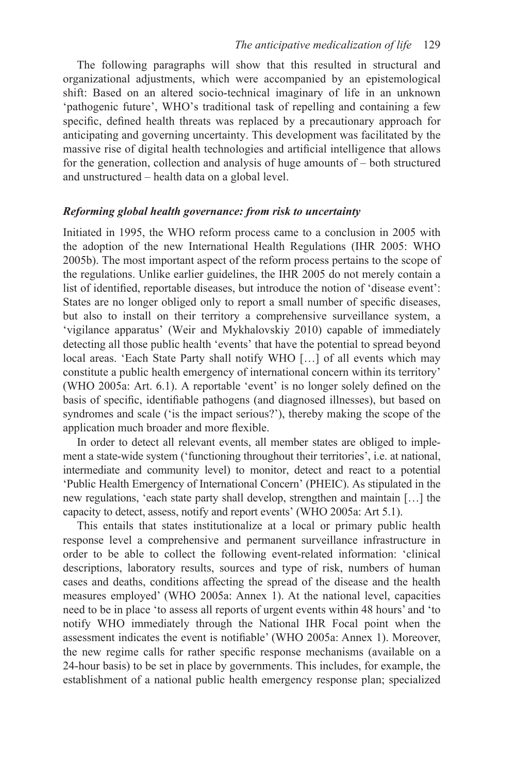The following paragraphs will show that this resulted in structural and organizational adjustments, which were accompanied by an epistemological shift: Based on an altered socio-technical imaginary of life in an unknown 'pathogenic future', WHO's traditional task of repelling and containing a few specific, defined health threats was replaced by a precautionary approach for anticipating and governing uncertainty. This development was facilitated by the massive rise of digital health technologies and artificial intelligence that allows for the generation, collection and analysis of huge amounts of – both structured and unstructured – health data on a global level.

#### *Reforming global health governance: from risk to uncertainty*

Initiated in 1995, the WHO reform process came to a conclusion in 2005 with the adoption of the new International Health Regulations (IHR 2005: WHO 2005b). The most important aspect of the reform process pertains to the scope of the regulations. Unlike earlier guidelines, the IHR 2005 do not merely contain a list of identified, reportable diseases, but introduce the notion of 'disease event': States are no longer obliged only to report a small number of specific diseases, but also to install on their territory a comprehensive surveillance system, a 'vigilance apparatus' (Weir and Mykhalovskiy 2010) capable of immediately detecting all those public health 'events' that have the potential to spread beyond local areas. 'Each State Party shall notify WHO […] of all events which may constitute a public health emergency of international concern within its territory' (WHO 2005a: Art. 6.1). A reportable 'event' is no longer solely defined on the basis of specific, identifiable pathogens (and diagnosed illnesses), but based on syndromes and scale ('is the impact serious?'), thereby making the scope of the application much broader and more flexible.

In order to detect all relevant events, all member states are obliged to implement a state-wide system ('functioning throughout their territories', i.e. at national, intermediate and community level) to monitor, detect and react to a potential 'Public Health Emergency of International Concern' (PHEIC). As stipulated in the new regulations, 'each state party shall develop, strengthen and maintain […] the capacity to detect, assess, notify and report events' (WHO 2005a: Art 5.1).

This entails that states institutionalize at a local or primary public health response level a comprehensive and permanent surveillance infrastructure in order to be able to collect the following event-related information: 'clinical descriptions, laboratory results, sources and type of risk, numbers of human cases and deaths, conditions affecting the spread of the disease and the health measures employed' (WHO 2005a: Annex 1). At the national level, capacities need to be in place 'to assess all reports of urgent events within 48 hours' and 'to notify WHO immediately through the National IHR Focal point when the assessment indicates the event is notifiable' (WHO 2005a: Annex 1). Moreover, the new regime calls for rather specific response mechanisms (available on a 24-hour basis) to be set in place by governments. This includes, for example, the establishment of a national public health emergency response plan; specialized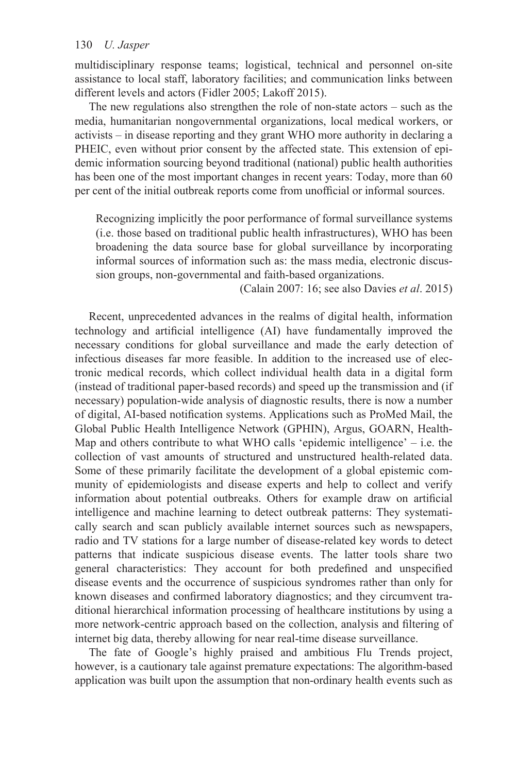multidisciplinary response teams; logistical, technical and personnel on-site assistance to local staff, laboratory facilities; and communication links between different levels and actors (Fidler 2005; Lakoff 2015).

The new regulations also strengthen the role of non-state actors – such as the media, humanitarian nongovernmental organizations, local medical workers, or activists – in disease reporting and they grant WHO more authority in declaring a PHEIC, even without prior consent by the affected state. This extension of epidemic information sourcing beyond traditional (national) public health authorities has been one of the most important changes in recent years: Today, more than 60 per cent of the initial outbreak reports come from unofficial or informal sources.

Recognizing implicitly the poor performance of formal surveillance systems (i.e. those based on traditional public health infrastructures), WHO has been broadening the data source base for global surveillance by incorporating informal sources of information such as: the mass media, electronic discussion groups, non-governmental and faith-based organizations.

(Calain 2007: 16; see also Davies *et al*. 2015)

Recent, unprecedented advances in the realms of digital health, information technology and artificial intelligence (AI) have fundamentally improved the necessary conditions for global surveillance and made the early detection of infectious diseases far more feasible. In addition to the increased use of electronic medical records, which collect individual health data in a digital form (instead of traditional paper-based records) and speed up the transmission and (if necessary) population-wide analysis of diagnostic results, there is now a number of digital, AI-based notification systems. Applications such as ProMed Mail, the Global Public Health Intelligence Network (GPHIN), Argus, GOARN, Health-Map and others contribute to what WHO calls 'epidemic intelligence' – i.e. the collection of vast amounts of structured and unstructured health-related data. Some of these primarily facilitate the development of a global epistemic community of epidemiologists and disease experts and help to collect and verify information about potential outbreaks. Others for example draw on artificial intelligence and machine learning to detect outbreak patterns: They systematically search and scan publicly available internet sources such as newspapers, radio and TV stations for a large number of disease-related key words to detect patterns that indicate suspicious disease events. The latter tools share two general characteristics: They account for both predefined and unspecified disease events and the occurrence of suspicious syndromes rather than only for known diseases and confirmed laboratory diagnostics; and they circumvent traditional hierarchical information processing of healthcare institutions by using a more network-centric approach based on the collection, analysis and filtering of internet big data, thereby allowing for near real-time disease surveillance.

The fate of Google's highly praised and ambitious Flu Trends project, however, is a cautionary tale against premature expectations: The algorithm-based application was built upon the assumption that non-ordinary health events such as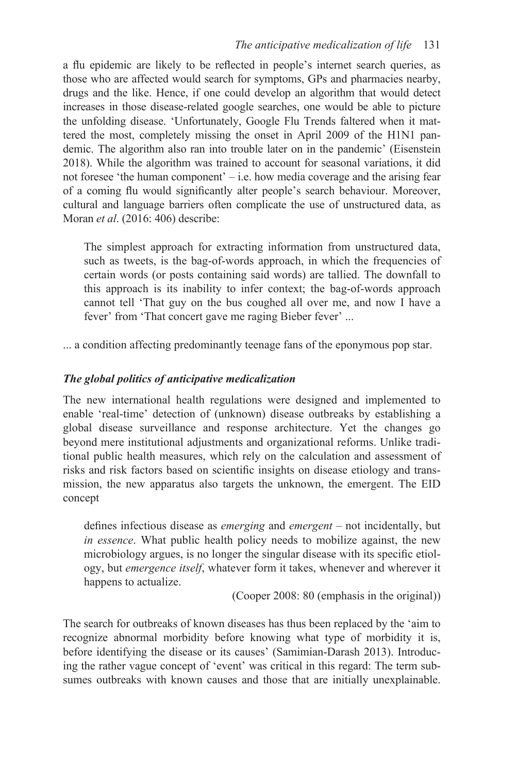a flu epidemic are likely to be reflected in people's internet search queries, as those who are affected would search for symptoms, GPs and pharmacies nearby, drugs and the like. Hence, if one could develop an algorithm that would detect increases in those disease-related google searches, one would be able to picture the unfolding disease. 'Unfortunately, Google Flu Trends faltered when it mattered the most, completely missing the onset in April 2009 of the H1N1 pandemic. The algorithm also ran into trouble later on in the pandemic' (Eisenstein 2018). While the algorithm was trained to account for seasonal variations, it did not foresee 'the human component' – i.e. how media coverage and the arising fear of a coming flu would significantly alter people's search behaviour. Moreover, cultural and language barriers often complicate the use of unstructured data, as Moran *et al*. (2016: 406) describe:

The simplest approach for extracting information from unstructured data, such as tweets, is the bag-of-words approach, in which the frequencies of certain words (or posts containing said words) are tallied. The downfall to this approach is its inability to infer context; the bag-of-words approach cannot tell 'That guy on the bus coughed all over me, and now I have a fever' from 'That concert gave me raging Bieber fever' ...

... a condition affecting predominantly teenage fans of the eponymous pop star.

# *The global politics of anticipative medicalization*

The new international health regulations were designed and implemented to enable 'real-time' detection of (unknown) disease outbreaks by establishing a global disease surveillance and response architecture. Yet the changes go beyond mere institutional adjustments and organizational reforms. Unlike traditional public health measures, which rely on the calculation and assessment of risks and risk factors based on scientific insights on disease etiology and transmission, the new apparatus also targets the unknown, the emergent. The EID concept

defines infectious disease as *emerging* and *emergent* – not incidentally, but *in essence*. What public health policy needs to mobilize against, the new microbiology argues, is no longer the singular disease with its specific etiology, but *emergence itself*, whatever form it takes, whenever and wherever it happens to actualize.

(Cooper 2008: 80 (emphasis in the original))

The search for outbreaks of known diseases has thus been replaced by the 'aim to recognize abnormal morbidity before knowing what type of morbidity it is, before identifying the disease or its causes' (Samimian-Darash 2013). Introducing the rather vague concept of 'event' was critical in this regard: The term subsumes outbreaks with known causes and those that are initially unexplainable.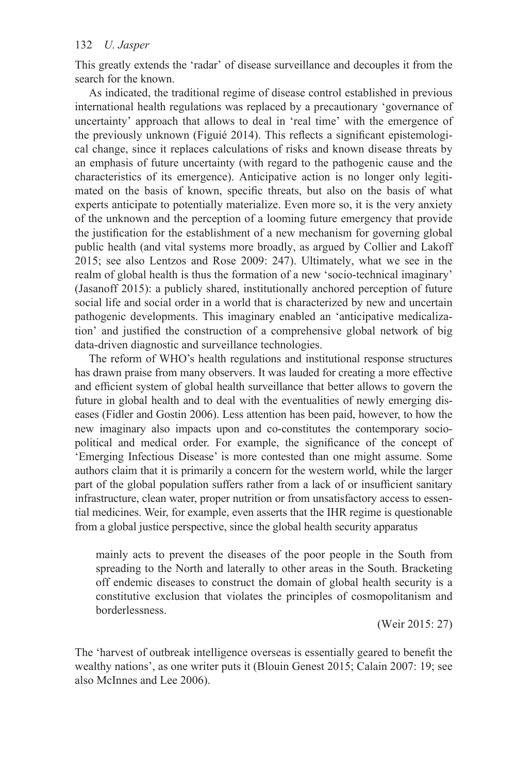This greatly extends the 'radar' of disease surveillance and decouples it from the search for the known.

As indicated, the traditional regime of disease control established in previous international health regulations was replaced by a precautionary 'governance of uncertainty' approach that allows to deal in 'real time' with the emergence of the previously unknown (Figuié 2014). This reflects a significant epistemological change, since it replaces calculations of risks and known disease threats by an emphasis of future uncertainty (with regard to the pathogenic cause and the characteristics of its emergence). Anticipative action is no longer only legitimated on the basis of known, specific threats, but also on the basis of what experts anticipate to potentially materialize. Even more so, it is the very anxiety of the unknown and the perception of a looming future emergency that provide the justification for the establishment of a new mechanism for governing global public health (and vital systems more broadly, as argued by Collier and Lakoff 2015; see also Lentzos and Rose 2009: 247). Ultimately, what we see in the realm of global health is thus the formation of a new 'socio-technical imaginary' (Jasanoff 2015): a publicly shared, institutionally anchored perception of future social life and social order in a world that is characterized by new and uncertain pathogenic developments. This imaginary enabled an 'anticipative medicalization' and justified the construction of a comprehensive global network of big data-driven diagnostic and surveillance technologies.

The reform of WHO's health regulations and institutional response structures has drawn praise from many observers. It was lauded for creating a more effective and efficient system of global health surveillance that better allows to govern the future in global health and to deal with the eventualities of newly emerging diseases (Fidler and Gostin 2006). Less attention has been paid, however, to how the new imaginary also impacts upon and co-constitutes the contemporary sociopolitical and medical order. For example, the significance of the concept of 'Emerging Infectious Disease' is more contested than one might assume. Some authors claim that it is primarily a concern for the western world, while the larger part of the global population suffers rather from a lack of or insufficient sanitary infrastructure, clean water, proper nutrition or from unsatisfactory access to essential medicines. Weir, for example, even asserts that the IHR regime is questionable from a global justice perspective, since the global health security apparatus

mainly acts to prevent the diseases of the poor people in the South from spreading to the North and laterally to other areas in the South. Bracketing off endemic diseases to construct the domain of global health security is a constitutive exclusion that violates the principles of cosmopolitanism and borderlessness.

(Weir 2015: 27)

The 'harvest of outbreak intelligence overseas is essentially geared to benefit the wealthy nations', as one writer puts it (Blouin Genest 2015; Calain 2007: 19; see also McInnes and Lee 2006).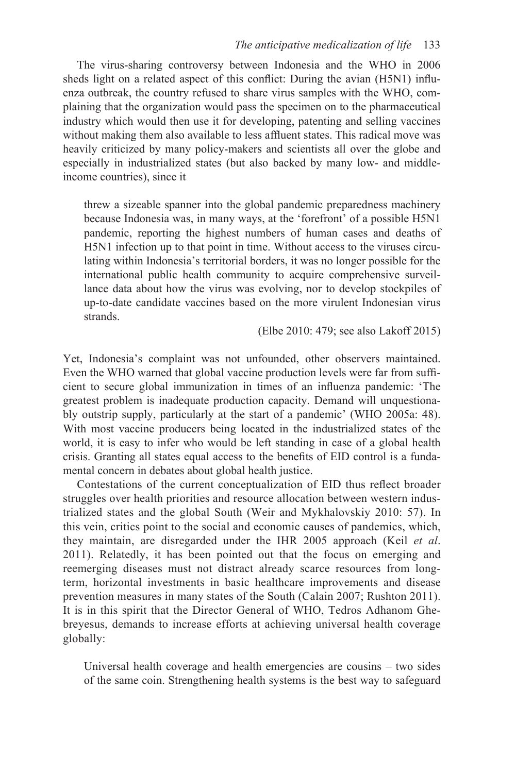The virus-sharing controversy between Indonesia and the WHO in 2006 sheds light on a related aspect of this conflict: During the avian (H5N1) influenza outbreak, the country refused to share virus samples with the WHO, complaining that the organization would pass the specimen on to the pharmaceutical industry which would then use it for developing, patenting and selling vaccines without making them also available to less affluent states. This radical move was heavily criticized by many policy-makers and scientists all over the globe and especially in industrialized states (but also backed by many low- and middleincome countries), since it

threw a sizeable spanner into the global pandemic preparedness machinery because Indonesia was, in many ways, at the 'forefront' of a possible H5N1 pandemic, reporting the highest numbers of human cases and deaths of H5N1 infection up to that point in time. Without access to the viruses circulating within Indonesia's territorial borders, it was no longer possible for the international public health community to acquire comprehensive surveillance data about how the virus was evolving, nor to develop stockpiles of up-to-date candidate vaccines based on the more virulent Indonesian virus strands.

(Elbe 2010: 479; see also Lakoff 2015)

Yet, Indonesia's complaint was not unfounded, other observers maintained. Even the WHO warned that global vaccine production levels were far from sufficient to secure global immunization in times of an influenza pandemic: 'The greatest problem is inadequate production capacity. Demand will unquestionably outstrip supply, particularly at the start of a pandemic' (WHO 2005a: 48). With most vaccine producers being located in the industrialized states of the world, it is easy to infer who would be left standing in case of a global health crisis. Granting all states equal access to the benefits of EID control is a fundamental concern in debates about global health justice.

Contestations of the current conceptualization of EID thus reflect broader struggles over health priorities and resource allocation between western industrialized states and the global South (Weir and Mykhalovskiy 2010: 57). In this vein, critics point to the social and economic causes of pandemics, which, they maintain, are disregarded under the IHR 2005 approach (Keil *et al*. 2011). Relatedly, it has been pointed out that the focus on emerging and reemerging diseases must not distract already scarce resources from longterm, horizontal investments in basic healthcare improvements and disease prevention measures in many states of the South (Calain 2007; Rushton 2011). It is in this spirit that the Director General of WHO, Tedros Adhanom Ghebreyesus, demands to increase efforts at achieving universal health coverage globally:

Universal health coverage and health emergencies are cousins – two sides of the same coin. Strengthening health systems is the best way to safeguard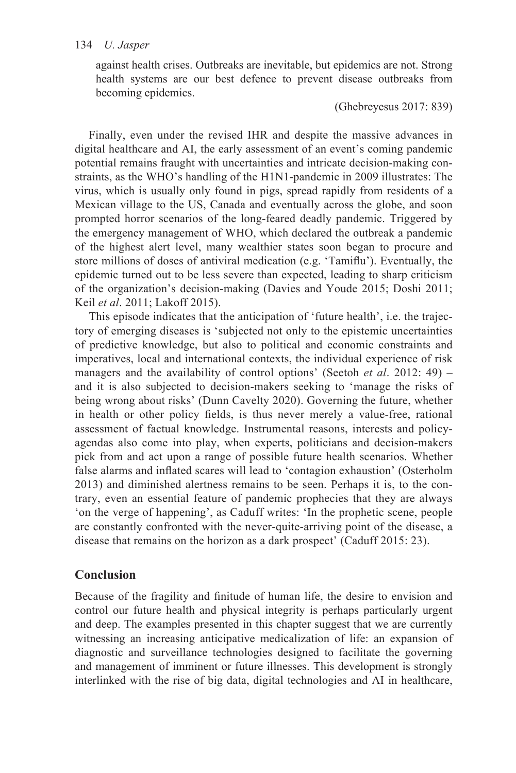against health crises. Outbreaks are inevitable, but epidemics are not. Strong health systems are our best defence to prevent disease outbreaks from becoming epidemics.

(Ghebreyesus 2017: 839)

Finally, even under the revised IHR and despite the massive advances in digital healthcare and AI, the early assessment of an event's coming pandemic potential remains fraught with uncertainties and intricate decision-making constraints, as the WHO's handling of the H1N1-pandemic in 2009 illustrates: The virus, which is usually only found in pigs, spread rapidly from residents of a Mexican village to the US, Canada and eventually across the globe, and soon prompted horror scenarios of the long-feared deadly pandemic. Triggered by the emergency management of WHO, which declared the outbreak a pandemic of the highest alert level, many wealthier states soon began to procure and store millions of doses of antiviral medication (e.g. 'Tamiflu'). Eventually, the epidemic turned out to be less severe than expected, leading to sharp criticism of the organization's decision-making (Davies and Youde 2015; Doshi 2011; Keil *et al*. 2011; Lakoff 2015).

This episode indicates that the anticipation of 'future health', i.e. the trajectory of emerging diseases is 'subjected not only to the epistemic uncertainties of predictive knowledge, but also to political and economic constraints and imperatives, local and international contexts, the individual experience of risk managers and the availability of control options' (Seetoh *et al*. 2012: 49) – and it is also subjected to decision-makers seeking to 'manage the risks of being wrong about risks' (Dunn Cavelty 2020). Governing the future, whether in health or other policy fields, is thus never merely a value-free, rational assessment of factual knowledge. Instrumental reasons, interests and policyagendas also come into play, when experts, politicians and decision-makers pick from and act upon a range of possible future health scenarios. Whether false alarms and inflated scares will lead to 'contagion exhaustion' (Osterholm 2013) and diminished alertness remains to be seen. Perhaps it is, to the contrary, even an essential feature of pandemic prophecies that they are always 'on the verge of happening', as Caduff writes: 'In the prophetic scene, people are constantly confronted with the never-quite-arriving point of the disease, a disease that remains on the horizon as a dark prospect' (Caduff 2015: 23).

# **Conclusion**

Because of the fragility and finitude of human life, the desire to envision and control our future health and physical integrity is perhaps particularly urgent and deep. The examples presented in this chapter suggest that we are currently witnessing an increasing anticipative medicalization of life: an expansion of diagnostic and surveillance technologies designed to facilitate the governing and management of imminent or future illnesses. This development is strongly interlinked with the rise of big data, digital technologies and AI in healthcare,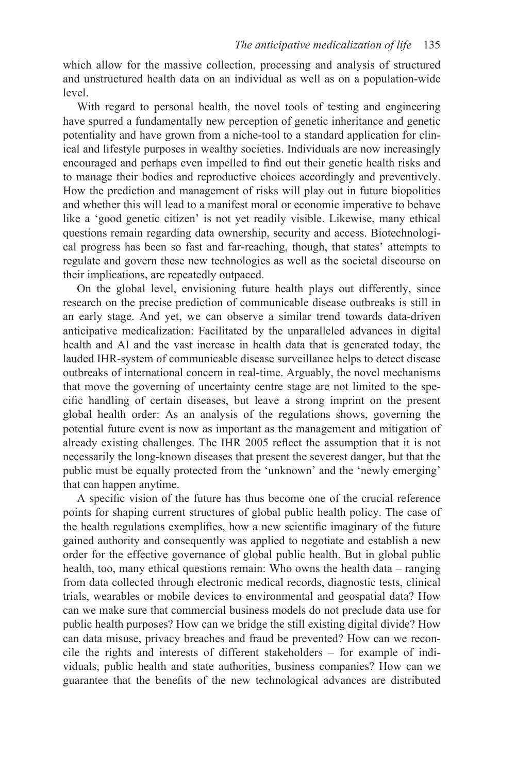which allow for the massive collection, processing and analysis of structured and unstructured health data on an individual as well as on a population-wide level.

With regard to personal health, the novel tools of testing and engineering have spurred a fundamentally new perception of genetic inheritance and genetic potentiality and have grown from a niche-tool to a standard application for clinical and lifestyle purposes in wealthy societies. Individuals are now increasingly encouraged and perhaps even impelled to find out their genetic health risks and to manage their bodies and reproductive choices accordingly and preventively. How the prediction and management of risks will play out in future biopolitics and whether this will lead to a manifest moral or economic imperative to behave like a 'good genetic citizen' is not yet readily visible. Likewise, many ethical questions remain regarding data ownership, security and access. Biotechnological progress has been so fast and far-reaching, though, that states' attempts to regulate and govern these new technologies as well as the societal discourse on their implications, are repeatedly outpaced.

On the global level, envisioning future health plays out differently, since research on the precise prediction of communicable disease outbreaks is still in an early stage. And yet, we can observe a similar trend towards data-driven anticipative medicalization: Facilitated by the unparalleled advances in digital health and AI and the vast increase in health data that is generated today, the lauded IHR-system of communicable disease surveillance helps to detect disease outbreaks of international concern in real-time. Arguably, the novel mechanisms that move the governing of uncertainty centre stage are not limited to the specific handling of certain diseases, but leave a strong imprint on the present global health order: As an analysis of the regulations shows, governing the potential future event is now as important as the management and mitigation of already existing challenges. The IHR 2005 reflect the assumption that it is not necessarily the long-known diseases that present the severest danger, but that the public must be equally protected from the 'unknown' and the 'newly emerging' that can happen anytime.

A specific vision of the future has thus become one of the crucial reference points for shaping current structures of global public health policy. The case of the health regulations exemplifies, how a new scientific imaginary of the future gained authority and consequently was applied to negotiate and establish a new order for the effective governance of global public health. But in global public health, too, many ethical questions remain: Who owns the health data – ranging from data collected through electronic medical records, diagnostic tests, clinical trials, wearables or mobile devices to environmental and geospatial data? How can we make sure that commercial business models do not preclude data use for public health purposes? How can we bridge the still existing digital divide? How can data misuse, privacy breaches and fraud be prevented? How can we reconcile the rights and interests of different stakeholders – for example of individuals, public health and state authorities, business companies? How can we guarantee that the benefits of the new technological advances are distributed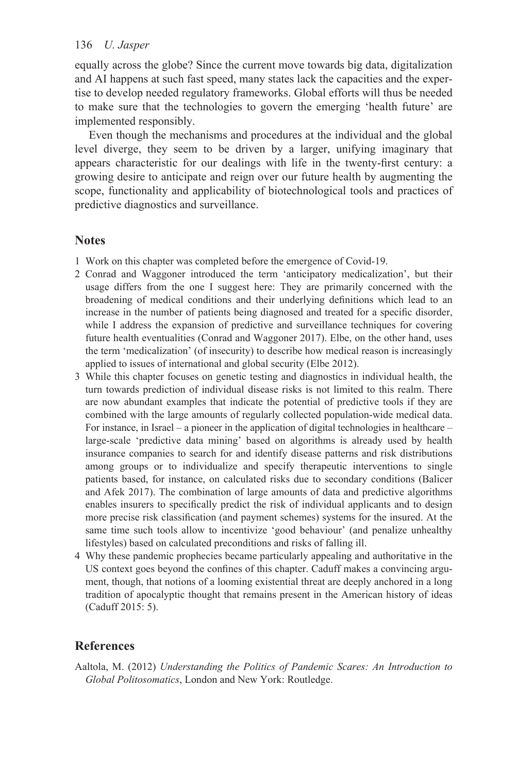equally across the globe? Since the current move towards big data, digitalization and AI happens at such fast speed, many states lack the capacities and the expertise to develop needed regulatory frameworks. Global efforts will thus be needed to make sure that the technologies to govern the emerging 'health future' are implemented responsibly.

Even though the mechanisms and procedures at the individual and the global level diverge, they seem to be driven by a larger, unifying imaginary that appears characteristic for our dealings with life in the twenty-first century: a growing desire to anticipate and reign over our future health by augmenting the scope, functionality and applicability of biotechnological tools and practices of predictive diagnostics and surveillance.

# **Notes**

- [1](#page--1-0) Work on this chapter was completed before the emergence of Covid-19.
- [2](#page--1-0) Conrad and Waggoner introduced the term 'anticipatory medicalization', but their usage differs from the one I suggest here: They are primarily concerned with the broadening of medical conditions and their underlying definitions which lead to an increase in the number of patients being diagnosed and treated for a specific disorder, while I address the expansion of predictive and surveillance techniques for covering future health eventualities (Conrad and Waggoner 2017). Elbe, on the other hand, uses the term 'medicalization' (of insecurity) to describe how medical reason is increasingly applied to issues of international and global security (Elbe 2012).
- [3](#page--1-0) While this chapter focuses on genetic testing and diagnostics in individual health, the turn towards prediction of individual disease risks is not limited to this realm. There are now abundant examples that indicate the potential of predictive tools if they are combined with the large amounts of regularly collected population-wide medical data. For instance, in Israel – a pioneer in the application of digital technologies in healthcare – large-scale 'predictive data mining' based on algorithms is already used by health insurance companies to search for and identify disease patterns and risk distributions among groups or to individualize and specify therapeutic interventions to single patients based, for instance, on calculated risks due to secondary conditions (Balicer and Afek 2017). The combination of large amounts of data and predictive algorithms enables insurers to specifically predict the risk of individual applicants and to design more precise risk classification (and payment schemes) systems for the insured. At the same time such tools allow to incentivize 'good behaviour' (and penalize unhealthy lifestyles) based on calculated preconditions and risks of falling ill.
- [4](#page--1-0) Why these pandemic prophecies became particularly appealing and authoritative in the US context goes beyond the confines of this chapter. Caduff makes a convincing argument, though, that notions of a looming existential threat are deeply anchored in a long tradition of apocalyptic thought that remains present in the American history of ideas (Caduff 2015: 5).

# **References**

Aaltola, M. (2012) *Understanding the Politics of Pandemic Scares: An Introduction to Global Politosomatics*, London and New York: Routledge.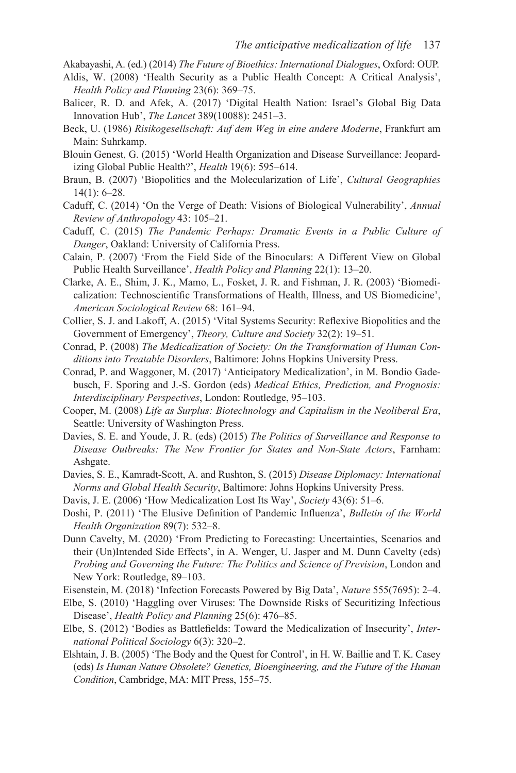- Akabayashi, A. (ed.) (2014) *The Future of Bioethics: International Dialogues*, Oxford: OUP.
- Aldis, W. (2008) 'Health Security as a Public Health Concept: A Critical Analysis', *Health Policy and Planning* 23(6): 369–75.
- Balicer, R. D. and Afek, A. (2017) 'Digital Health Nation: Israel's Global Big Data Innovation Hub', *The Lancet* 389(10088): 2451–3.
- Beck, U. (1986) *Risikogesellschaft: Auf dem Weg in eine andere Moderne*, Frankfurt am Main: Suhrkamp.
- Blouin Genest, G. (2015) 'World Health Organization and Disease Surveillance: Jeopardizing Global Public Health?', *Health* 19(6): 595–614.
- Braun, B. (2007) 'Biopolitics and the Molecularization of Life', *Cultural Geographies*  14(1): 6–28.
- Caduff, C. (2014) 'On the Verge of Death: Visions of Biological Vulnerability', *Annual Review of Anthropology* 43: 105–21.
- Caduff, C. (2015) *The Pandemic Perhaps: Dramatic Events in a Public Culture of Danger*, Oakland: University of California Press.
- Calain, P. (2007) 'From the Field Side of the Binoculars: A Different View on Global Public Health Surveillance', *Health Policy and Planning* 22(1): 13–20.
- Clarke, A. E., Shim, J. K., Mamo, L., Fosket, J. R. and Fishman, J. R. (2003) 'Biomedicalization: Technoscientific Transformations of Health, Illness, and US Biomedicine', *American Sociological Review* 68: 161–94.
- Collier, S. J. and Lakoff, A. (2015) 'Vital Systems Security: Reflexive Biopolitics and the Government of Emergency', *Theory, Culture and Society* 32(2): 19–51.
- Conrad, P. (2008) *The Medicalization of Society: On the Transformation of Human Conditions into Treatable Disorders*, Baltimore: Johns Hopkins University Press.
- Conrad, P. and Waggoner, M. (2017) 'Anticipatory Medicalization', in M. Bondio Gadebusch, F. Sporing and J.-S. Gordon (eds) *Medical Ethics, Prediction, and Prognosis: Interdisciplinary Perspectives*, London: Routledge, 95–103.
- Cooper, M. (2008) *Life as Surplus: Biotechnology and Capitalism in the Neoliberal Era*, Seattle: University of Washington Press.
- Davies, S. E. and Youde, J. R. (eds) (2015) *The Politics of Surveillance and Response to Disease Outbreaks: The New Frontier for States and Non-State Actors*, Farnham: Ashgate.
- Davies, S. E., Kamradt-Scott, A. and Rushton, S. (2015) *Disease Diplomacy: International Norms and Global Health Security*, Baltimore: Johns Hopkins University Press.
- Davis, J. E. (2006) 'How Medicalization Lost Its Way', *Society* 43(6): 51–6.
- Doshi, P. (2011) 'The Elusive Definition of Pandemic Influenza', *Bulletin of the World Health Organization* 89(7): 532–8.
- Dunn Cavelty, M. (2020) 'From Predicting to Forecasting: Uncertainties, Scenarios and their (Un)Intended Side Effects', in A. Wenger, U. Jasper and M. Dunn Cavelty (eds) *Probing and Governing the Future: The Politics and Science of Prevision*, London and New York: Routledge, 89–103.
- Eisenstein, M. (2018) 'Infection Forecasts Powered by Big Data', *Nature* 555(7695): 2–4.
- Elbe, S. (2010) 'Haggling over Viruses: The Downside Risks of Securitizing Infectious Disease', *Health Policy and Planning* 25(6): 476–85.
- Elbe, S. (2012) 'Bodies as Battlefields: Toward the Medicalization of Insecurity', *International Political Sociology* 6(3): 320–2.
- Elshtain, J. B. (2005) 'The Body and the Quest for Control', in H. W. Baillie and T. K. Casey (eds) *Is Human Nature Obsolete? Genetics, Bioengineering, and the Future of the Human Condition*, Cambridge, MA: MIT Press, 155–75.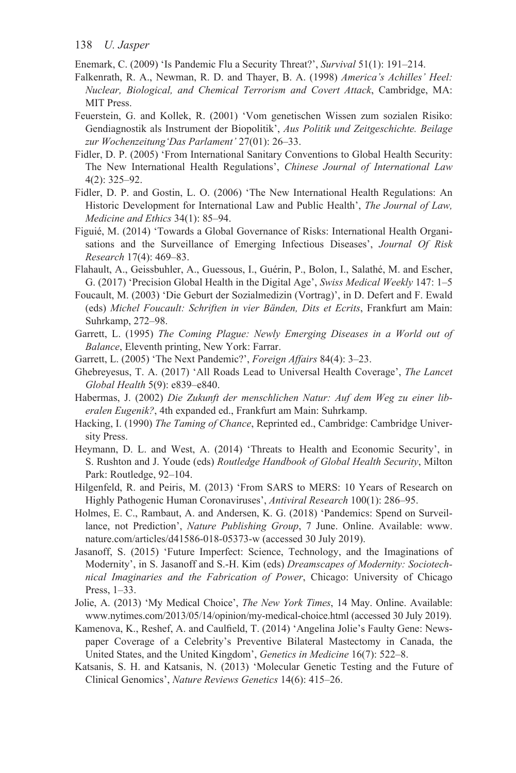Enemark, C. (2009) 'Is Pandemic Flu a Security Threat?', *Survival* 51(1): 191–214.

- Falkenrath, R. A., Newman, R. D. and Thayer, B. A. (1998) *America's Achilles' Heel: Nuclear, Biological, and Chemical Terrorism and Covert Attack*, Cambridge, MA: MIT Press.
- Feuerstein, G. and Kollek, R. (2001) 'Vom genetischen Wissen zum sozialen Risiko: Gendiagnostik als Instrument der Biopolitik', *Aus Politik und Zeitgeschichte. Beilage zur Wochenzeitung'Das Parlament'* 27(01): 26–33.
- Fidler, D. P. (2005) 'From International Sanitary Conventions to Global Health Security: The New International Health Regulations', *Chinese Journal of International Law*  4(2): 325–92.
- Fidler, D. P. and Gostin, L. O. (2006) 'The New International Health Regulations: An Historic Development for International Law and Public Health', *The Journal of Law, Medicine and Ethics* 34(1): 85–94.
- Figuié, M. (2014) 'Towards a Global Governance of Risks: International Health Organisations and the Surveillance of Emerging Infectious Diseases', *Journal Of Risk Research* 17(4): 469–83.
- Flahault, A., Geissbuhler, A., Guessous, I., Guérin, P., Bolon, I., Salathé, M. and Escher, G. (2017) 'Precision Global Health in the Digital Age', *Swiss Medical Weekly* 147: 1–5
- Foucault, M. (2003) 'Die Geburt der Sozialmedizin (Vortrag)', in D. Defert and F. Ewald (eds) *Michel Foucault: Schriften in vier Bänden, Dits et Ecrits*, Frankfurt am Main: Suhrkamp, 272–98.
- Garrett, L. (1995) *The Coming Plague: Newly Emerging Diseases in a World out of Balance*, Eleventh printing, New York: Farrar.
- Garrett, L. (2005) 'The Next Pandemic?', *Foreign Affairs* 84(4): 3–23.
- Ghebreyesus, T. A. (2017) 'All Roads Lead to Universal Health Coverage', *The Lancet Global Health* 5(9): e839–e840.
- Habermas, J. (2002) *Die Zukunft der menschlichen Natur: Auf dem Weg zu einer liberalen Eugenik?*, 4th expanded ed., Frankfurt am Main: Suhrkamp.
- Hacking, I. (1990) *The Taming of Chance*, Reprinted ed., Cambridge: Cambridge University Press.
- Heymann, D. L. and West, A. (2014) 'Threats to Health and Economic Security', in S. Rushton and J. Youde (eds) *Routledge Handbook of Global Health Security*, Milton Park: Routledge, 92–104.
- Hilgenfeld, R. and Peiris, M. (2013) 'From SARS to MERS: 10 Years of Research on Highly Pathogenic Human Coronaviruses', *Antiviral Research* 100(1): 286–95.
- Holmes, E. C., Rambaut, A. and Andersen, K. G. (2018) 'Pandemics: Spend on Surveillance, not Prediction', *Nature Publishing Group*, 7 June. Online. Available: [www.](www.nature.com)  [nature.com/articles/d41586-018-05373-w \(](www.nature.com)accessed 30 July 2019).
- Jasanoff, S. (2015) 'Future Imperfect: Science, Technology, and the Imaginations of Modernity', in S. Jasanoff and S.-H. Kim (eds) *Dreamscapes of Modernity: Sociotechnical Imaginaries and the Fabrication of Power*, Chicago: University of Chicago Press, 1–33.
- Jolie, A. (2013) 'My Medical Choice', *The New York Times*, 14 May. Online. Available: [www.nytimes.com/2013/05/14/opinion/my-medical-choice.html](www.nytimes.com) (accessed 30 July 2019).
- Kamenova, K., Reshef, A. and Caulfield, T. (2014) 'Angelina Jolie's Faulty Gene: Newspaper Coverage of a Celebrity's Preventive Bilateral Mastectomy in Canada, the United States, and the United Kingdom', *Genetics in Medicine* 16(7): 522–8.
- Katsanis, S. H. and Katsanis, N. (2013) 'Molecular Genetic Testing and the Future of Clinical Genomics', *Nature Reviews Genetics* 14(6): 415–26.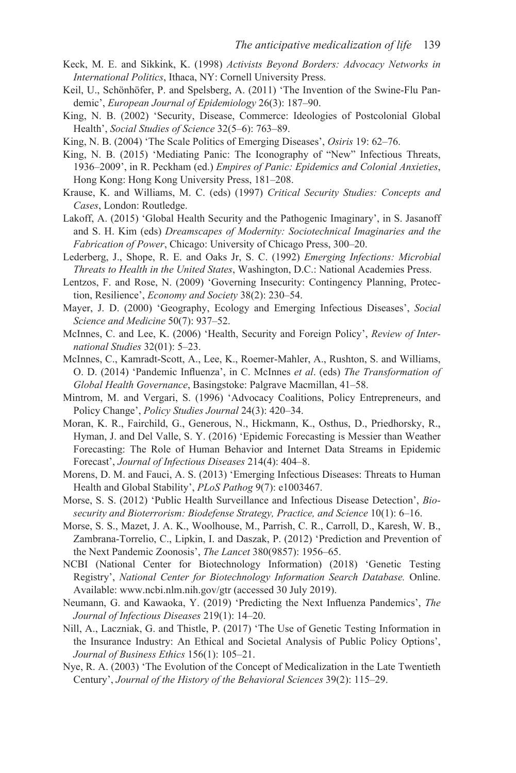- Keck, M. E. and Sikkink, K. (1998) *Activists Beyond Borders: Advocacy Networks in International Politics*, Ithaca, NY: Cornell University Press.
- Keil, U., Schönhöfer, P. and Spelsberg, A. (2011) 'The Invention of the Swine-Flu Pandemic', *European Journal of Epidemiology* 26(3): 187–90.
- King, N. B. (2002) 'Security, Disease, Commerce: Ideologies of Postcolonial Global Health', *Social Studies of Science* 32(5–6): 763–89.
- King, N. B. (2004) 'The Scale Politics of Emerging Diseases', *Osiris* 19: 62–76.
- King, N. B. (2015) 'Mediating Panic: The Iconography of "New" Infectious Threats, 1936–2009', in R. Peckham (ed.) *Empires of Panic: Epidemics and Colonial Anxieties*, Hong Kong: Hong Kong University Press, 181–208.
- Krause, K. and Williams, M. C. (eds) (1997) *Critical Security Studies: Concepts and Cases*, London: Routledge.
- Lakoff, A. (2015) 'Global Health Security and the Pathogenic Imaginary', in S. Jasanoff and S. H. Kim (eds) *Dreamscapes of Modernity: Sociotechnical Imaginaries and the Fabrication of Power*, Chicago: University of Chicago Press, 300–20.
- Lederberg, J., Shope, R. E. and Oaks Jr, S. C. (1992) *Emerging Infections: Microbial Threats to Health in the United States*, Washington, D.C.: National Academies Press.
- Lentzos, F. and Rose, N. (2009) 'Governing Insecurity: Contingency Planning, Protection, Resilience', *Economy and Society* 38(2): 230–54.
- Mayer, J. D. (2000) 'Geography, Ecology and Emerging Infectious Diseases', *Social Science and Medicine* 50(7): 937–52.
- McInnes, C. and Lee, K. (2006) 'Health, Security and Foreign Policy', *Review of International Studies* 32(01): 5–23.
- McInnes, C., Kamradt-Scott, A., Lee, K., Roemer-Mahler, A., Rushton, S. and Williams, O. D. (2014) 'Pandemic Influenza', in C. McInnes *et al*. (eds) *The Transformation of Global Health Governance*, Basingstoke: Palgrave Macmillan, 41–58.
- Mintrom, M. and Vergari, S. (1996) 'Advocacy Coalitions, Policy Entrepreneurs, and Policy Change', *Policy Studies Journal* 24(3): 420–34.
- Moran, K. R., Fairchild, G., Generous, N., Hickmann, K., Osthus, D., Priedhorsky, R., Hyman, J. and Del Valle, S. Y. (2016) 'Epidemic Forecasting is Messier than Weather Forecasting: The Role of Human Behavior and Internet Data Streams in Epidemic Forecast', *Journal of Infectious Diseases* 214(4): 404–8.
- Morens, D. M. and Fauci, A. S. (2013) 'Emerging Infectious Diseases: Threats to Human Health and Global Stability', *PLoS Pathog* 9(7): e1003467.
- Morse, S. S. (2012) 'Public Health Surveillance and Infectious Disease Detection', *Biosecurity and Bioterrorism: Biodefense Strategy, Practice, and Science* 10(1): 6–16.
- Morse, S. S., Mazet, J. A. K., Woolhouse, M., Parrish, C. R., Carroll, D., Karesh, W. B., Zambrana-Torrelio, C., Lipkin, I. and Daszak, P. (2012) 'Prediction and Prevention of the Next Pandemic Zoonosis', *The Lancet* 380(9857): 1956–65.
- NCBI (National Center for Biotechnology Information) (2018) 'Genetic Testing Registry', *National Center for Biotechnology Information Search Database.* Online. Available[: www.ncbi.nlm.nih.gov/gtr \(](www.ncbi.nlm.nih.gov)accessed 30 July 2019).
- Neumann, G. and Kawaoka, Y. (2019) 'Predicting the Next Influenza Pandemics', *The Journal of Infectious Diseases* 219(1): 14–20.
- Nill, A., Laczniak, G. and Thistle, P. (2017) 'The Use of Genetic Testing Information in the Insurance Industry: An Ethical and Societal Analysis of Public Policy Options', *Journal of Business Ethics* 156(1): 105–21.
- Nye, R. A. (2003) 'The Evolution of the Concept of Medicalization in the Late Twentieth Century', *Journal of the History of the Behavioral Sciences* 39(2): 115–29.